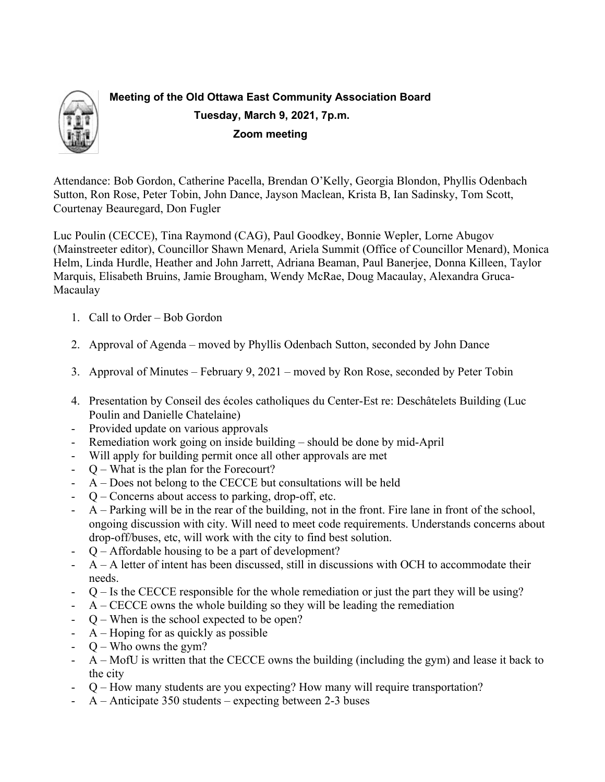

# **Meeting of the Old Ottawa East Community Association Board Tuesday, March 9, 2021, 7p.m. Zoom meeting**

Attendance: Bob Gordon, Catherine Pacella, Brendan O'Kelly, Georgia Blondon, Phyllis Odenbach Sutton, Ron Rose, Peter Tobin, John Dance, Jayson Maclean, Krista B, Ian Sadinsky, Tom Scott, Courtenay Beauregard, Don Fugler

Luc Poulin (CECCE), Tina Raymond (CAG), Paul Goodkey, Bonnie Wepler, Lorne Abugov (Mainstreeter editor), Councillor Shawn Menard, Ariela Summit (Office of Councillor Menard), Monica Helm, Linda Hurdle, Heather and John Jarrett, Adriana Beaman, Paul Banerjee, Donna Killeen, Taylor Marquis, Elisabeth Bruins, Jamie Brougham, Wendy McRae, Doug Macaulay, Alexandra Gruca-Macaulay

- 1. Call to Order Bob Gordon
- 2. Approval of Agenda moved by Phyllis Odenbach Sutton, seconded by John Dance
- 3. Approval of Minutes February 9, 2021 moved by Ron Rose, seconded by Peter Tobin
- 4. Presentation by Conseil des écoles catholiques du Center-Est re: Deschâtelets Building (Luc Poulin and Danielle Chatelaine)
- Provided update on various approvals
- Remediation work going on inside building should be done by mid-April
- Will apply for building permit once all other approvals are met
- Q What is the plan for the Forecourt?
- A Does not belong to the CECCE but consultations will be held
- Q Concerns about access to parking, drop-off, etc.
- A Parking will be in the rear of the building, not in the front. Fire lane in front of the school, ongoing discussion with city. Will need to meet code requirements. Understands concerns about drop-off/buses, etc, will work with the city to find best solution.
- $Q$  Affordable housing to be a part of development?
- $A A$  letter of intent has been discussed, still in discussions with OCH to accommodate their needs.
- Q Is the CECCE responsible for the whole remediation or just the part they will be using?
- $A CECCE$  owns the whole building so they will be leading the remediation
- Q When is the school expected to be open?
- A Hoping for as quickly as possible
- $Q -$  Who owns the gym?
- A MofU is written that the CECCE owns the building (including the gym) and lease it back to the city
- Q How many students are you expecting? How many will require transportation?
- A Anticipate 350 students expecting between 2-3 buses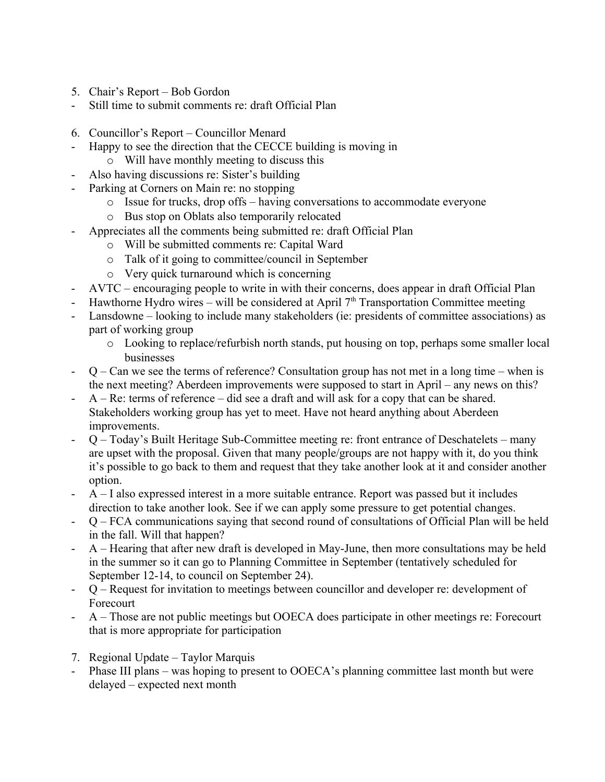- 5. Chair's Report Bob Gordon
- Still time to submit comments re: draft Official Plan
- 6. Councillor's Report Councillor Menard
- Happy to see the direction that the CECCE building is moving in o Will have monthly meeting to discuss this
	- Also having discussions re: Sister's building
- Parking at Corners on Main re: no stopping
	- o Issue for trucks, drop offs having conversations to accommodate everyone
	- o Bus stop on Oblats also temporarily relocated
- Appreciates all the comments being submitted re: draft Official Plan
	- o Will be submitted comments re: Capital Ward
	- o Talk of it going to committee/council in September
	- o Very quick turnaround which is concerning
- AVTC encouraging people to write in with their concerns, does appear in draft Official Plan
- Hawthorne Hydro wires will be considered at April  $7<sup>th</sup>$  Transportation Committee meeting
- Lansdowne looking to include many stakeholders (ie: presidents of committee associations) as part of working group
	- o Looking to replace/refurbish north stands, put housing on top, perhaps some smaller local businesses
- $Q Can$  we see the terms of reference? Consultation group has not met in a long time when is the next meeting? Aberdeen improvements were supposed to start in April – any news on this?
- A Re: terms of reference did see a draft and will ask for a copy that can be shared. Stakeholders working group has yet to meet. Have not heard anything about Aberdeen improvements.
- Q Today's Built Heritage Sub-Committee meeting re: front entrance of Deschatelets many are upset with the proposal. Given that many people/groups are not happy with it, do you think it's possible to go back to them and request that they take another look at it and consider another option.
- A I also expressed interest in a more suitable entrance. Report was passed but it includes direction to take another look. See if we can apply some pressure to get potential changes.
- Q FCA communications saying that second round of consultations of Official Plan will be held in the fall. Will that happen?
- A Hearing that after new draft is developed in May-June, then more consultations may be held in the summer so it can go to Planning Committee in September (tentatively scheduled for September 12-14, to council on September 24).
- Q Request for invitation to meetings between councillor and developer re: development of Forecourt
- A Those are not public meetings but OOECA does participate in other meetings re: Forecourt that is more appropriate for participation
- 7. Regional Update Taylor Marquis
- Phase III plans was hoping to present to OOECA's planning committee last month but were delayed – expected next month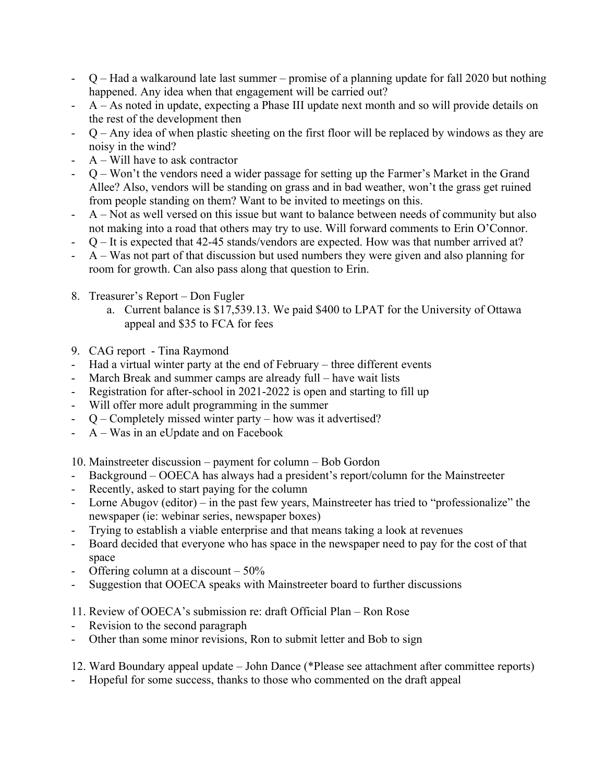- $Q$  Had a walkaround late last summer promise of a planning update for fall 2020 but nothing happened. Any idea when that engagement will be carried out?
- A As noted in update, expecting a Phase III update next month and so will provide details on the rest of the development then
- $Q$  Any idea of when plastic sheeting on the first floor will be replaced by windows as they are noisy in the wind?
- $A Will$  have to ask contractor
- Q Won't the vendors need a wider passage for setting up the Farmer's Market in the Grand Allee? Also, vendors will be standing on grass and in bad weather, won't the grass get ruined from people standing on them? Want to be invited to meetings on this.
- A Not as well versed on this issue but want to balance between needs of community but also not making into a road that others may try to use. Will forward comments to Erin O'Connor.
- $Q$  It is expected that 42-45 stands/vendors are expected. How was that number arrived at?
- A Was not part of that discussion but used numbers they were given and also planning for room for growth. Can also pass along that question to Erin.
- 8. Treasurer's Report Don Fugler
	- a. Current balance is \$17,539.13. We paid \$400 to LPAT for the University of Ottawa appeal and \$35 to FCA for fees
- 9. CAG report Tina Raymond
- Had a virtual winter party at the end of February three different events
- March Break and summer camps are already full have wait lists
- Registration for after-school in 2021-2022 is open and starting to fill up
- Will offer more adult programming in the summer
- $Q$  Completely missed winter party how was it advertised?
- A Was in an eUpdate and on Facebook

10. Mainstreeter discussion – payment for column – Bob Gordon

- Background OOECA has always had a president's report/column for the Mainstreeter
- Recently, asked to start paying for the column
- Lorne Abugov (editor) in the past few years, Mainstreeter has tried to "professionalize" the newspaper (ie: webinar series, newspaper boxes)
- Trying to establish a viable enterprise and that means taking a look at revenues
- Board decided that everyone who has space in the newspaper need to pay for the cost of that space
- Offering column at a discount  $-50\%$
- Suggestion that OOECA speaks with Mainstreeter board to further discussions
- 11. Review of OOECA's submission re: draft Official Plan Ron Rose
- Revision to the second paragraph
- Other than some minor revisions, Ron to submit letter and Bob to sign
- 12. Ward Boundary appeal update John Dance (\*Please see attachment after committee reports)
- Hopeful for some success, thanks to those who commented on the draft appeal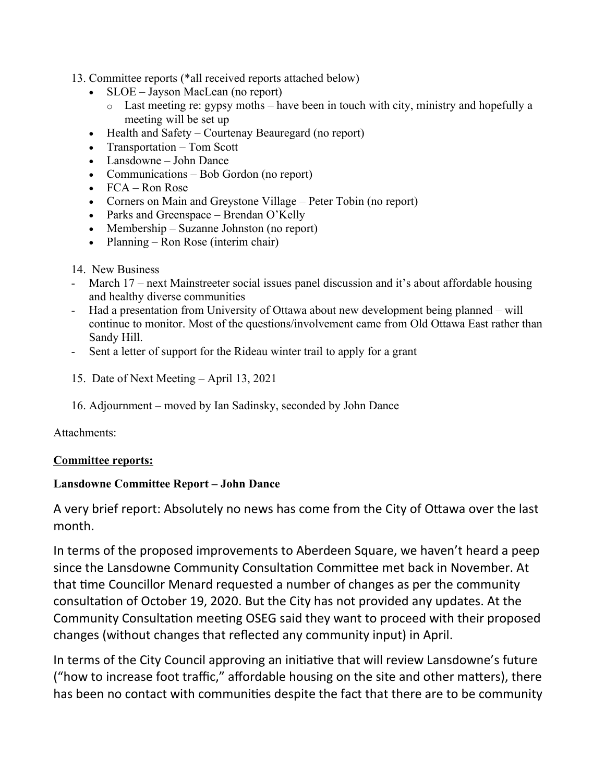### 13. Committee reports (\*all received reports attached below)

- SLOE Jayson MacLean (no report)
	- o Last meeting re: gypsy moths have been in touch with city, ministry and hopefully a meeting will be set up
- Health and Safety Courtenay Beauregard (no report)
- Transportation Tom Scott
- Lansdowne John Dance
- Communications Bob Gordon (no report)
- $\bullet$  FCA Ron Rose
- Corners on Main and Greystone Village Peter Tobin (no report)
- Parks and Greenspace Brendan O'Kelly
- Membership Suzanne Johnston (no report)
- Planning Ron Rose (interim chair)

### 14. New Business

- March 17 next Mainstreeter social issues panel discussion and it's about affordable housing and healthy diverse communities
- Had a presentation from University of Ottawa about new development being planned will continue to monitor. Most of the questions/involvement came from Old Ottawa East rather than Sandy Hill.
- Sent a letter of support for the Rideau winter trail to apply for a grant
- 15. Date of Next Meeting April 13, 2021
- 16. Adjournment moved by Ian Sadinsky, seconded by John Dance

Attachments:

# **Committee reports:**

# **Lansdowne Committee Report – John Dance**

A very brief report: Absolutely no news has come from the City of Ottawa over the last month.

In terms of the proposed improvements to Aberdeen Square, we haven't heard a peep since the Lansdowne Community Consultation Committee met back in November. At that time Councillor Menard requested a number of changes as per the community consultation of October 19, 2020. But the City has not provided any updates. At the Community Consultation meeting OSEG said they want to proceed with their proposed changes (without changes that reflected any community input) in April.

In terms of the City Council approving an initiative that will review Lansdowne's future ("how to increase foot traffic," affordable housing on the site and other matters), there has been no contact with communities despite the fact that there are to be community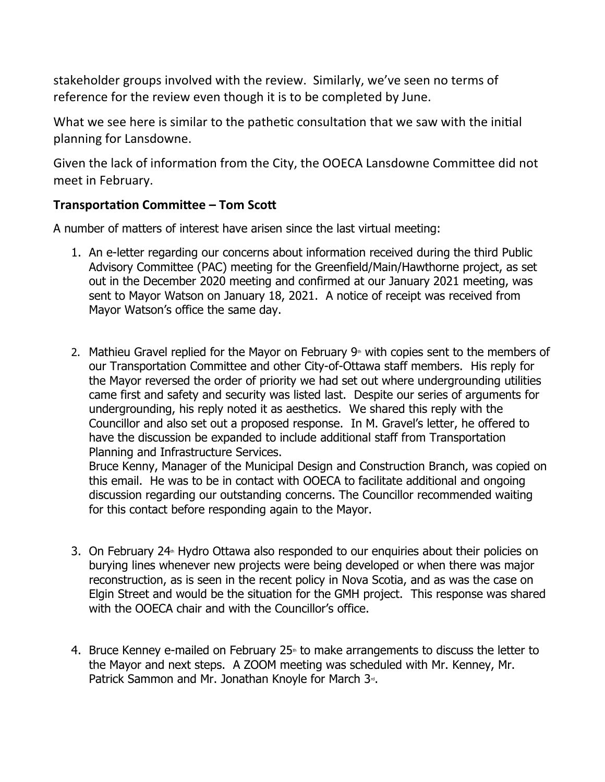stakeholder groups involved with the review. Similarly, we've seen no terms of reference for the review even though it is to be completed by June.

What we see here is similar to the pathetic consultation that we saw with the initial planning for Lansdowne.

Given the lack of information from the City, the OOECA Lansdowne Committee did not meet in February.

# **Transportation Committee – Tom Scott**

A number of matters of interest have arisen since the last virtual meeting:

- 1. An e-letter regarding our concerns about information received during the third Public Advisory Committee (PAC) meeting for the Greenfield/Main/Hawthorne project, as set out in the December 2020 meeting and confirmed at our January 2021 meeting, was sent to Mayor Watson on January 18, 2021. A notice of receipt was received from Mayor Watson's office the same day.
- 2. Mathieu Gravel replied for the Mayor on February  $9<sup>th</sup>$  with copies sent to the members of our Transportation Committee and other City-of-Ottawa staff members. His reply for the Mayor reversed the order of priority we had set out where undergrounding utilities came first and safety and security was listed last. Despite our series of arguments for undergrounding, his reply noted it as aesthetics. We shared this reply with the Councillor and also set out a proposed response. In M. Gravel's letter, he offered to have the discussion be expanded to include additional staff from Transportation Planning and Infrastructure Services.

Bruce Kenny, Manager of the Municipal Design and Construction Branch, was copied on this email. He was to be in contact with OOECA to facilitate additional and ongoing discussion regarding our outstanding concerns. The Councillor recommended waiting for this contact before responding again to the Mayor.

- 3. On February 24<sup> $\text{th}$ </sup> Hydro Ottawa also responded to our enquiries about their policies on burying lines whenever new projects were being developed or when there was major reconstruction, as is seen in the recent policy in Nova Scotia, and as was the case on Elgin Street and would be the situation for the GMH project. This response was shared with the OOECA chair and with the Councillor's office.
- 4. Bruce Kenney e-mailed on February 25<sup> $#$ </sup> to make arrangements to discuss the letter to the Mayor and next steps. A ZOOM meeting was scheduled with Mr. Kenney, Mr. Patrick Sammon and Mr. Jonathan Knoyle for March 3<sup>®</sup>.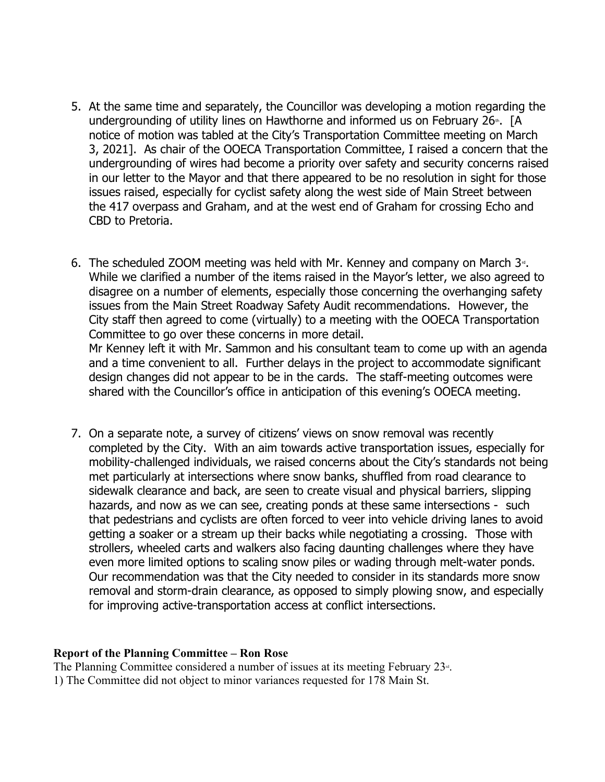- 5. At the same time and separately, the Councillor was developing a motion regarding the undergrounding of utility lines on Hawthorne and informed us on February 26<sup>th</sup>. [A notice of motion was tabled at the City's Transportation Committee meeting on March 3, 2021]. As chair of the OOECA Transportation Committee, I raised a concern that the undergrounding of wires had become a priority over safety and security concerns raised in our letter to the Mayor and that there appeared to be no resolution in sight for those issues raised, especially for cyclist safety along the west side of Main Street between the 417 overpass and Graham, and at the west end of Graham for crossing Echo and CBD to Pretoria.
- 6. The scheduled ZOOM meeting was held with Mr. Kenney and company on March  $3<sup>a</sup>$ . While we clarified a number of the items raised in the Mayor's letter, we also agreed to disagree on a number of elements, especially those concerning the overhanging safety issues from the Main Street Roadway Safety Audit recommendations. However, the City staff then agreed to come (virtually) to a meeting with the OOECA Transportation Committee to go over these concerns in more detail.

Mr Kenney left it with Mr. Sammon and his consultant team to come up with an agenda and a time convenient to all. Further delays in the project to accommodate significant design changes did not appear to be in the cards. The staff-meeting outcomes were shared with the Councillor's office in anticipation of this evening's OOECA meeting.

7. On a separate note, a survey of citizens' views on snow removal was recently completed by the City. With an aim towards active transportation issues, especially for mobility-challenged individuals, we raised concerns about the City's standards not being met particularly at intersections where snow banks, shuffled from road clearance to sidewalk clearance and back, are seen to create visual and physical barriers, slipping hazards, and now as we can see, creating ponds at these same intersections - such that pedestrians and cyclists are often forced to veer into vehicle driving lanes to avoid getting a soaker or a stream up their backs while negotiating a crossing. Those with strollers, wheeled carts and walkers also facing daunting challenges where they have even more limited options to scaling snow piles or wading through melt-water ponds. Our recommendation was that the City needed to consider in its standards more snow removal and storm-drain clearance, as opposed to simply plowing snow, and especially for improving active-transportation access at conflict intersections.

#### **Report of the Planning Committee – Ron Rose**

The Planning Committee considered a number of issues at its meeting February  $23<sup>u</sup>$ . 1) The Committee did not object to minor variances requested for 178 Main St.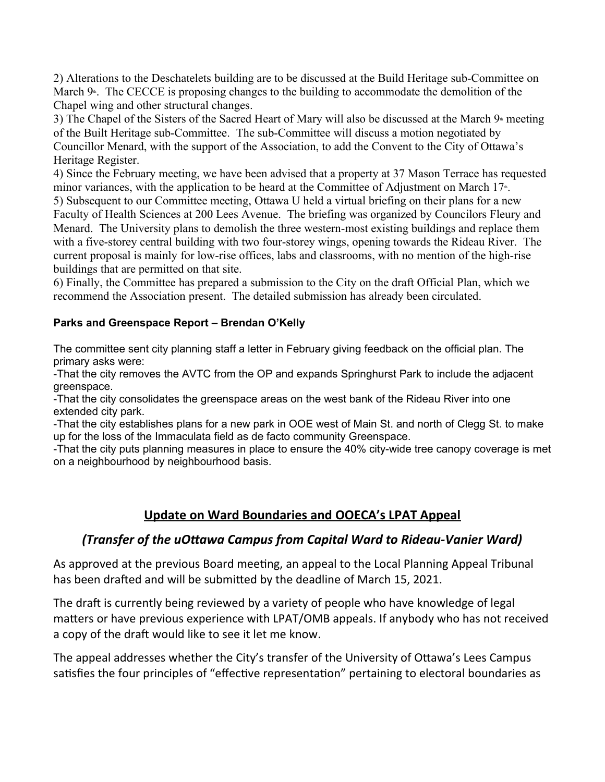2) Alterations to the Deschatelets building are to be discussed at the Build Heritage sub-Committee on March  $9$ <sup> $\text{h}$ </sup>. The CECCE is proposing changes to the building to accommodate the demolition of the Chapel wing and other structural changes.

3) The Chapel of the Sisters of the Sacred Heart of Mary will also be discussed at the March  $9<sup>th</sup>$  meeting of the Built Heritage sub-Committee. The sub-Committee will discuss a motion negotiated by Councillor Menard, with the support of the Association, to add the Convent to the City of Ottawa's Heritage Register.

4) Since the February meeting, we have been advised that a property at 37 Mason Terrace has requested minor variances, with the application to be heard at the Committee of Adjustment on March 17<sup>th</sup>.

5) Subsequent to our Committee meeting, Ottawa U held a virtual briefing on their plans for a new Faculty of Health Sciences at 200 Lees Avenue. The briefing was organized by Councilors Fleury and Menard. The University plans to demolish the three western-most existing buildings and replace them with a five-storey central building with two four-storey wings, opening towards the Rideau River. The current proposal is mainly for low-rise offices, labs and classrooms, with no mention of the high-rise buildings that are permitted on that site.

6) Finally, the Committee has prepared a submission to the City on the draft Official Plan, which we recommend the Association present. The detailed submission has already been circulated.

### **Parks and Greenspace Report – Brendan O'Kelly**

The committee sent city planning staff a letter in February giving feedback on the official plan. The primary asks were:

-That the city removes the AVTC from the OP and expands Springhurst Park to include the adjacent greenspace.

-That the city consolidates the greenspace areas on the west bank of the Rideau River into one extended city park.

-That the city establishes plans for a new park in OOE west of Main St. and north of Clegg St. to make up for the loss of the Immaculata field as de facto community Greenspace.

-That the city puts planning measures in place to ensure the 40% city-wide tree canopy coverage is met on a neighbourhood by neighbourhood basis.

# **Update on Ward Boundaries and OOECA's LPAT Appeal**

# *(Transfer of the uOttawa Campus from Capital Ward to Rideau-Vanier Ward)*

As approved at the previous Board meeting, an appeal to the Local Planning Appeal Tribunal has been drafted and will be submitted by the deadline of March 15, 2021.

The draft is currently being reviewed by a variety of people who have knowledge of legal matters or have previous experience with LPAT/OMB appeals. If anybody who has not received a copy of the draft would like to see it let me know.

The appeal addresses whether the City's transfer of the University of Ottawa's Lees Campus satisfies the four principles of "effective representation" pertaining to electoral boundaries as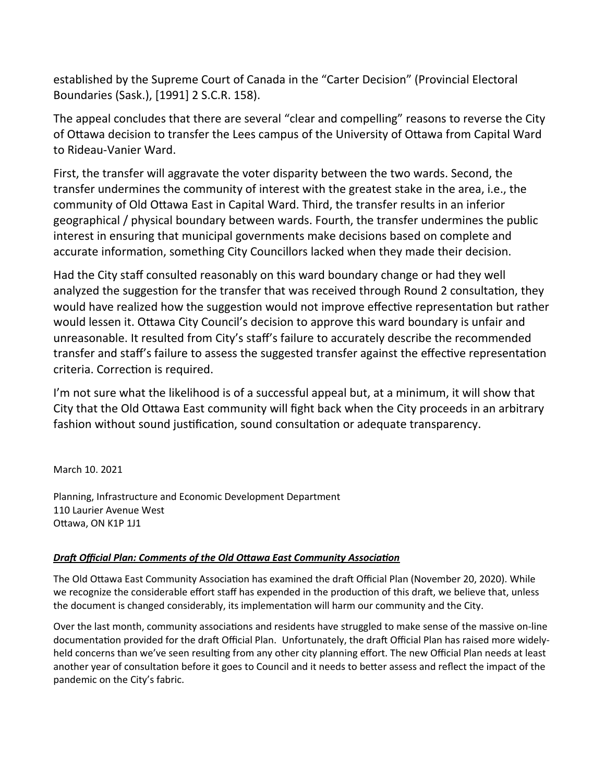established by the Supreme Court of Canada in the "Carter Decision" (Provincial Electoral Boundaries (Sask.), [1991] 2 S.C.R. 158).

The appeal concludes that there are several "clear and compelling" reasons to reverse the City of Ottawa decision to transfer the Lees campus of the University of Ottawa from Capital Ward to Rideau-Vanier Ward.

First, the transfer will aggravate the voter disparity between the two wards. Second, the transfer undermines the community of interest with the greatest stake in the area, i.e., the community of Old Ottawa East in Capital Ward. Third, the transfer results in an inferior geographical / physical boundary between wards. Fourth, the transfer undermines the public interest in ensuring that municipal governments make decisions based on complete and accurate information, something City Councillors lacked when they made their decision.

Had the City staff consulted reasonably on this ward boundary change or had they well analyzed the suggestion for the transfer that was received through Round 2 consultation, they would have realized how the suggestion would not improve effective representation but rather would lessen it. Ottawa City Council's decision to approve this ward boundary is unfair and unreasonable. It resulted from City's staff's failure to accurately describe the recommended transfer and staff's failure to assess the suggested transfer against the effective representation criteria. Correction is required.

I'm not sure what the likelihood is of a successful appeal but, at a minimum, it will show that City that the Old Ottawa East community will fight back when the City proceeds in an arbitrary fashion without sound justification, sound consultation or adequate transparency.

March 10. 2021

Planning, Infrastructure and Economic Development Department 110 Laurier Avenue West Ottawa, ON K1P 1J1

#### *Draft Official Plan: Comments of the Old Ottawa East Community Association*

The Old Ottawa East Community Association has examined the draft Official Plan (November 20, 2020). While we recognize the considerable effort staff has expended in the production of this draft, we believe that, unless the document is changed considerably, its implementation will harm our community and the City.

Over the last month, community associations and residents have struggled to make sense of the massive on-line documentation provided for the draft Official Plan. Unfortunately, the draft Official Plan has raised more widelyheld concerns than we've seen resulting from any other city planning effort. The new Official Plan needs at least another year of consultation before it goes to Council and it needs to better assess and reflect the impact of the pandemic on the City's fabric.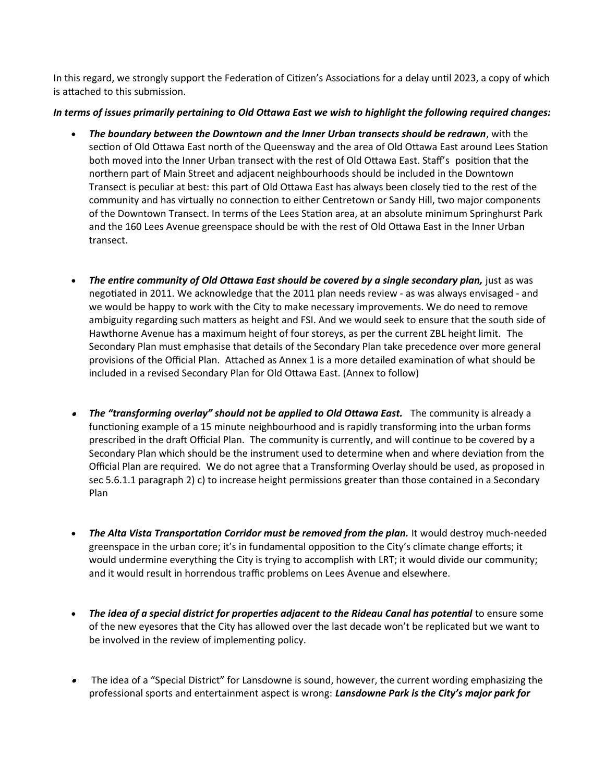In this regard, we strongly support the Federation of Citizen's Associations for a delay until 2023, a copy of which is attached to this submission.

#### *In terms of issues primarily pertaining to Old Ottawa East we wish to highlight the following required changes:*

- *The boundary between the Downtown and the Inner Urban transects should be redrawn*, with the section of Old Ottawa East north of the Queensway and the area of Old Ottawa East around Lees Station both moved into the Inner Urban transect with the rest of Old Ottawa East. Staff's position that the northern part of Main Street and adjacent neighbourhoods should be included in the Downtown Transect is peculiar at best: this part of Old Ottawa East has always been closely tied to the rest of the community and has virtually no connection to either Centretown or Sandy Hill, two major components of the Downtown Transect. In terms of the Lees Station area, at an absolute minimum Springhurst Park and the 160 Lees Avenue greenspace should be with the rest of Old Ottawa East in the Inner Urban transect.
- *The entire community of Old Ottawa East should be covered by a single secondary plan,* just as was negotiated in 2011. We acknowledge that the 2011 plan needs review - as was always envisaged - and we would be happy to work with the City to make necessary improvements. We do need to remove ambiguity regarding such matters as height and FSI. And we would seek to ensure that the south side of Hawthorne Avenue has a maximum height of four storeys, as per the current ZBL height limit. The Secondary Plan must emphasise that details of the Secondary Plan take precedence over more general provisions of the Official Plan. Attached as Annex 1 is a more detailed examination of what should be included in a revised Secondary Plan for Old Ottawa East. (Annex to follow)
- **The "transforming overlay" should not be applied to Old Ottawa East.** The community is already a functioning example of a 15 minute neighbourhood and is rapidly transforming into the urban forms prescribed in the draft Official Plan. The community is currently, and will continue to be covered by a Secondary Plan which should be the instrument used to determine when and where deviation from the Official Plan are required. We do not agree that a Transforming Overlay should be used, as proposed in sec 5.6.1.1 paragraph 2) c) to increase height permissions greater than those contained in a Secondary Plan
- *The Alta Vista Transportation Corridor must be removed from the plan.* It would destroy much-needed greenspace in the urban core; it's in fundamental opposition to the City's climate change efforts; it would undermine everything the City is trying to accomplish with LRT; it would divide our community; and it would result in horrendous traffic problems on Lees Avenue and elsewhere.
- **The idea of a special district for properties adjacent to the Rideau Canal has potential** to ensure some of the new eyesores that the City has allowed over the last decade won't be replicated but we want to be involved in the review of implementing policy.
- . The idea of a "Special District" for Lansdowne is sound, however, the current wording emphasizing the professional sports and entertainment aspect is wrong: *Lansdowne Park is the City's major park for*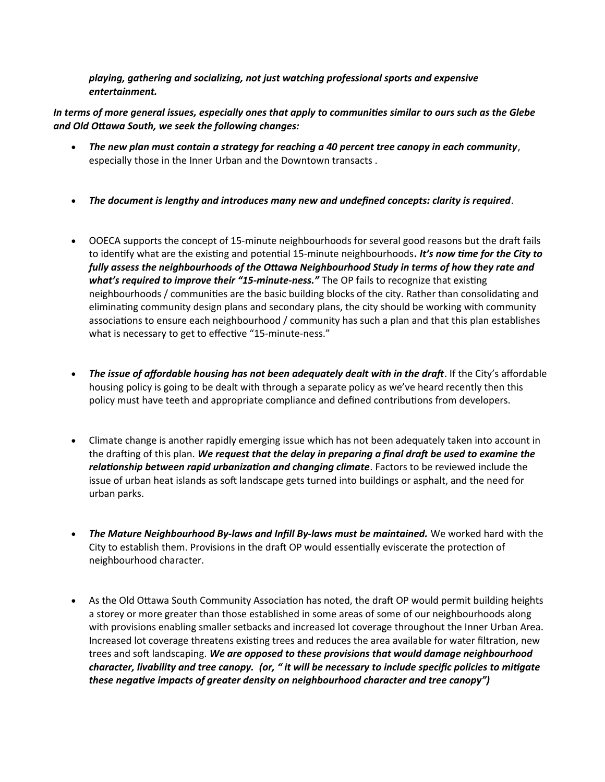*playing, gathering and socializing, not just watching professional sports and expensive entertainment.*

*In terms of more general issues, especially ones that apply to communities similar to ours such as the Glebe and Old Ottawa South, we seek the following changes:*

- *The new plan must contain a strategy for reaching a 40 percent tree canopy in each community*, especially those in the Inner Urban and the Downtown transacts .
- *The document is lengthy and introduces many new and undefined concepts: clarity is required*.
- OOECA supports the concept of 15-minute neighbourhoods for several good reasons but the draft fails to identify what are the existing and potential 15-minute neighbourhoods*. It's now time for the City to fully assess the neighbourhoods of the Ottawa Neighbourhood Study in terms of how they rate and what's required to improve their "15-minute-ness."* The OP fails to recognize that existing neighbourhoods / communities are the basic building blocks of the city. Rather than consolidating and eliminating community design plans and secondary plans, the city should be working with community associations to ensure each neighbourhood / community has such a plan and that this plan establishes what is necessary to get to effective "15-minute-ness."
- *The issue of affordable housing has not been adequately dealt with in the draft*. If the City's affordable housing policy is going to be dealt with through a separate policy as we've heard recently then this policy must have teeth and appropriate compliance and defined contributions from developers.
- Climate change is another rapidly emerging issue which has not been adequately taken into account in the drafting of this plan. *We request that the delay in preparing a final draft be used to examine the relationship between rapid urbanization and changing climate*. Factors to be reviewed include the issue of urban heat islands as soft landscape gets turned into buildings or asphalt, and the need for urban parks.
- *The Mature Neighbourhood By-laws and Infill By-laws must be maintained.* We worked hard with the City to establish them. Provisions in the draft OP would essentially eviscerate the protection of neighbourhood character.
- As the Old Ottawa South Community Association has noted, the draft OP would permit building heights a storey or more greater than those established in some areas of some of our neighbourhoods along with provisions enabling smaller setbacks and increased lot coverage throughout the Inner Urban Area. Increased lot coverage threatens existing trees and reduces the area available for water filtration, new trees and soft landscaping. *We are opposed to these provisions that would damage neighbourhood character, livability and tree canopy. (or, " it will be necessary to include specific policies to mitigate these negative impacts of greater density on neighbourhood character and tree canopy")*